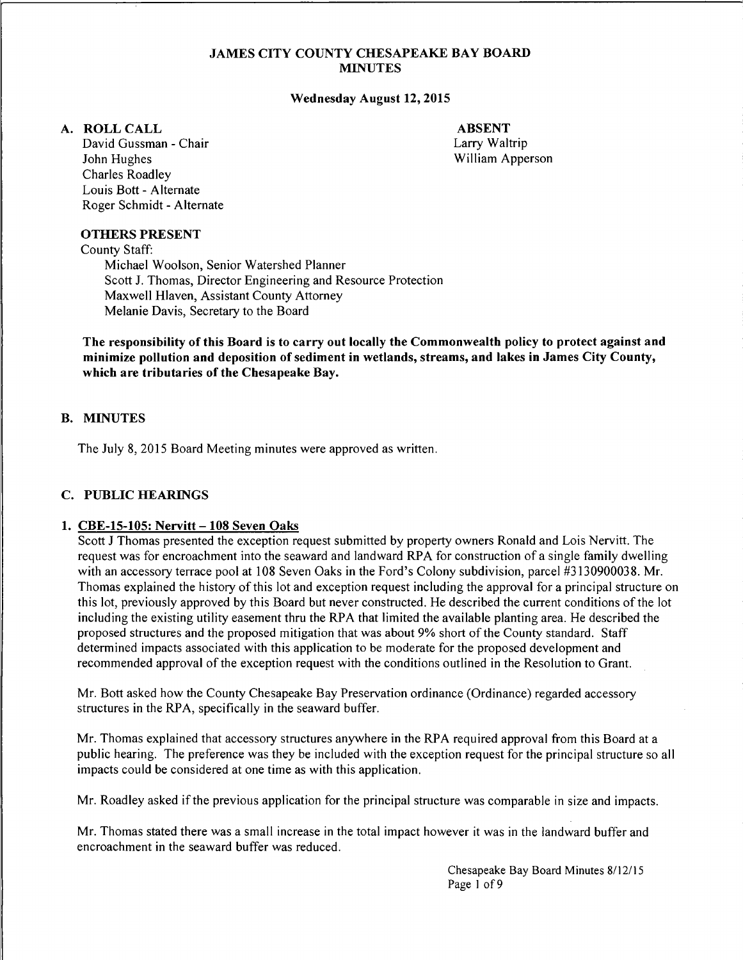#### JAMES CITY COUNTY CHESAPEAKE BAY BOARD **MINUTES**

#### Wednesday August 12, 2015

#### A. ROLLCALL

David Gussman - Chair John Hughes Charles Roadley Louis Bott - Alternate Roger Schmidt - Alternate

ABSENT Larry Waltrip William Apperson

#### OTHERS PRESENT

County Staff:

Michael Woolson, Senior Watershed Planner Scott J. Thomas, Director Engineering and Resource Protection Maxwell Hlaven, Assistant County Attorney Melanie Davis, Secretary to the Board

The responsibility of this Board is to carry out locally the Commonwealth policy to protect against and minimize pollution and deposition of sediment in wetlands, streams, and lakes in James City County, which are tributaries of the Chesapeake Bay.

#### B. MINUTES

The July 8, 2015 Board Meeting minutes were approved as written.

#### C. PUBLIC HEARINGS

#### 1. CBE-15-105: Nervitt - 108 Seven Oaks

Scott J Thomas presented the exception request submitted by property owners Ronald and Lois Nervitt. The request was for encroachment into the seaward and landward RPA for construction of a single family dwelling with an accessory terrace pool at 108 Seven Oaks in the Ford's Colony subdivision, parcel #3130900038. Mr. Thomas explained the history of this lot and exception request including the approval for a principal structure on this lot, previously approved by this Board but never constructed. He described the current conditions of the lot including the existing utility easement thru the RPA that limited the available planting area. He described the proposed structures and the proposed mitigation that was about 9% short of the County standard. Staff determined impacts associated with this application to be moderate for the proposed development and recommended approval of the exception request with the conditions outlined in the Resolution to Grant.

Mr. Bott asked how the County Chesapeake Bay Preservation ordinance (Ordinance) regarded accessory structures in the RPA, specifically in the seaward buffer.

Mr. Thomas explained that accessory structures anywhere in the RPA required approval from this Board at a public hearing. The preference was they be included with the exception request for the principal structure so all impacts could be considered at one time as with this application.

Mr. Roadley asked if the previous application for the principal structure was comparable in size and impacts.

Mr. Thomas stated there was a small increase in the total impact however it was in the landward buffer and encroachment in the seaward buffer was reduced.

> Chesapeake Bay Board Minutes 8/12/15 Page 1 of 9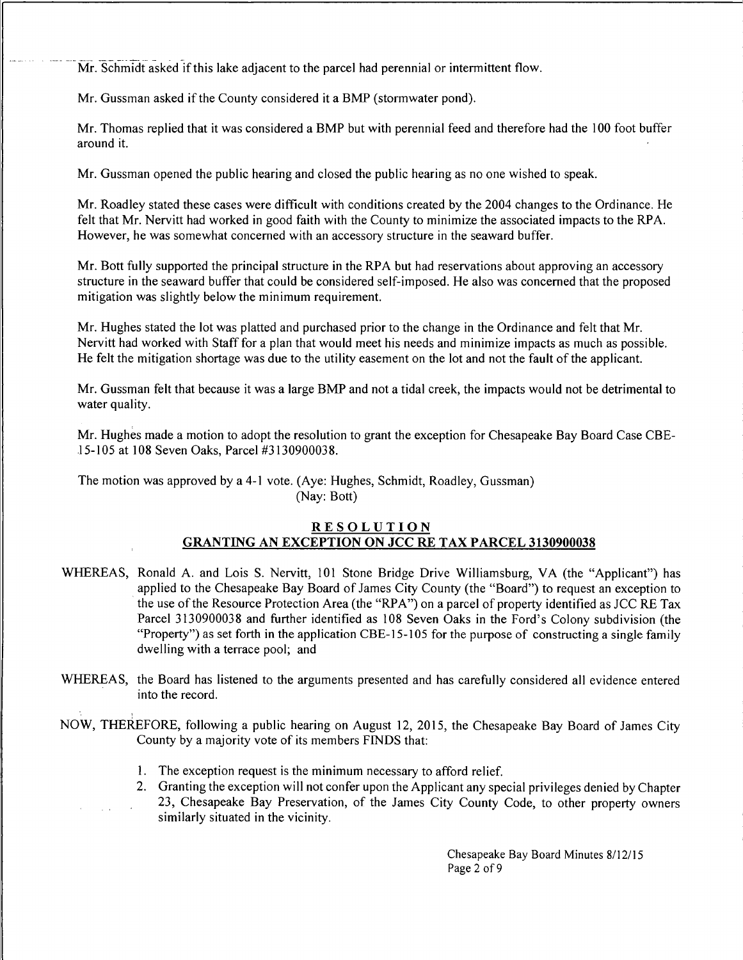Mr. Schmidt asked if this lake adjacent to the parcel had perennial or intermittent flow.

Mr. Gussman asked if the County considered it a BMP (stormwater pond).

Mr. Thomas replied that it was considered a BMP but with perennial feed and therefore had the 100 foot buffer around it.

Mr. Gussman opened the public hearing and closed the public hearing as no one wished to speak.

Mr. Roadley stated these cases were difficult with conditions created by the 2004 changes to the Ordinance. He felt that Mr. Nervitt had worked in good faith with the County to minimize the associated impacts to the RPA. However, he was somewhat concerned with an accessory structure in the seaward buffer.

Mr. Bott fully supported the principal structure in the RPA but had reservations about approving an accessory structure in the seaward buffer that could be considered self-imposed. He also was concerned that the proposed mitigation was slightly below the minimum requirement.

Mr. Hughes stated the lot was platted and purchased prior to the change in the Ordinance and felt that Mr. Nervitt had worked with Staff for a plan that would meet his needs and minimize impacts as much as possible. He felt the mitigation shortage was due to the utility easement on the lot and not the fault of the applicant.

Mr. Gussman felt that because it was a large BMP and not a tidal creek, the impacts would not be detrimental to water quality.

Mr. Hughes made a motion to adopt the resolution to grant the exception for Chesapeake Bay Board Case CBE-J 5-105 at 108 Seven Oaks, Parcel #3130900038.

The motion was approved by a 4-1 vote. (Aye: Hughes, Schmidt, Roadley, Gussman) (Nay: Bott)

### RESOLUTION GRANTING AN EXCEPTION ON JCC RE TAX PARCEL 3130900038

- WHEREAS, Ronald A. and Lois S. Nervitt, 101 Stone Bridge Drive Williamsburg, VA (the "Applicant") has applied to the Chesapeake Bay Board of James City County (the "Board") to request an exception to the use of the Resource Protection Area (the "RPA") on a parcel of property identified as JCC RE Tax Parcel 3130900038 and further identified as 108 Seven Oaks in the Ford's Colony subdivision (the "Property") as set forth in the application CBE-15-105 for the purpose of constructing a single family dwelling with a terrace pool; and
- WHEREAS, the Board has listened to the arguments presented and has carefully considered all evidence entered into the record.
- NOW, THEREFORE, following a public hearing on August 12, 2015, the Chesapeake Bay Board of James City County by a majority vote of its members FINDS that:
	- 1. The exception request is the minimum necessary to afford relief.
	- 2. Granting the exception will not confer upon the Applicant any special privileges denied by Chapter 23, Chesapeake Bay Preservation, of the James City County Code, to other property owners similarly situated in the vicinity.

Chesapeake Bay Board Minutes 8/12/15 Page 2 of 9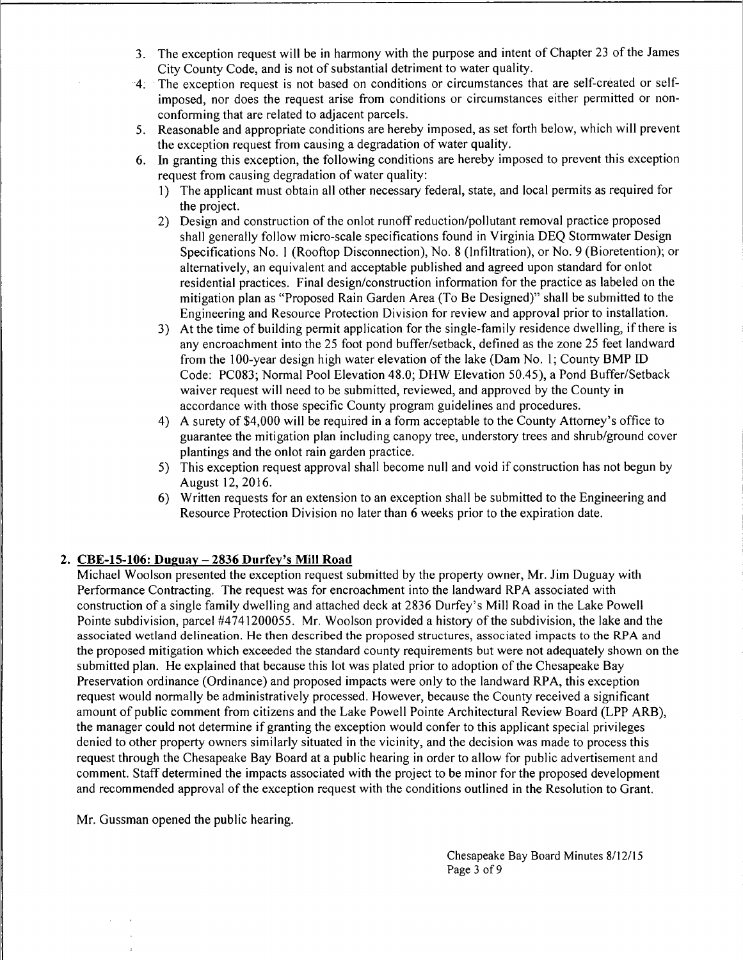- 3. The exception request will be in harmony with the purpose and intent of Chapter 23 of the James City County Code, and is not of substantial detriment to water quality.
- 4; The exception request is not based on conditions or circumstances that are self-created or selfimposed, nor does the request arise from conditions or circumstances either permitted or nonconforming that are related to adjacent parcels.
- 5. Reasonable and appropriate conditions are hereby imposed, as set forth below, which will prevent the exception request from causing a degradation of water quality.
- 6. In granting this exception, the following conditions are hereby imposed to prevent this exception request from causing degradation of water quality:
	- 1) The applicant must obtain all other necessary federal, state, and local permits as required for the project.
	- 2) Design and construction of the onlot runoff reduction/pollutant removal practice proposed shall generally follow micro-scale specifications found in Virginia DEQ Stormwater Design Specifications No. 1 (Rooftop Disconnection), No. 8 (Infiltration), or No. 9 (Bioretention); or alternatively, an equivalent and acceptable published and agreed upon standard for onlot residential practices. Final design/construction information for the practice as labeled on the mitigation plan as "Proposed Rain Garden Area (To Be Designed)" shall be submitted to the Engineering and Resource Protection Division for review and approval prior to installation.
	- 3) At the time of building permit application for the single-family residence dwelling, if there is any encroachment into the 25 foot pond buffer/setback, defined as the zone 25 feet landward from the JOO-year design high water elevation of the lake (Dam No. 1; County BMP ID Code: PC083; Normal Pool Elevation 48.0; DHW Elevation 50.45), a Pond Buffer/Setback waiver request will need to be submitted, reviewed, and approved by the County in accordance with those specific County program guidelines and procedures.
	- 4) A surety of \$4,000 will be required in a form acceptable to the County Attorney's office to guarantee the mitigation plan including canopy tree, understory trees and shrub/ground cover plantings and the onlot rain garden practice.
	- 5) This exception request approval shall become null and void if construction has not begun by August 12, 2016.
	- 6) Written requests for an extension to an exception shall be submitted to the Engineering and Resource Protection Division no later than 6 weeks prior to the expiration date.

# 2. CBE-15-106: Duguay- 2836 Durfey's Mill Road

Michael Woolson presented the exception request submitted by the property owner, Mr. Jim Duguay with Performance Contracting. The request was for encroachment into the landward RPA associated with construction of a single family dwelling and attached deck at 2836 Durfey's Mill Road in the Lake Powell Pointe subdivision, parcel #4741200055. Mr. Woolson provided a history of the subdivision, the lake and the associated wetland delineation. He then described the proposed structures, associated impacts to the RPA and the proposed mitigation which exceeded the standard county requirements but were not adequately shown on the submitted plan. He explained that because this lot was plated prior to adoption of the Chesapeake Bay Preservation ordinance (Ordinance) and proposed impacts were only to the landward RPA, this exception request would normally be administratively processed. However, because the County received a significant amount of public comment from citizens and the Lake Powell Pointe Architectural Review Board (LPP ARB), the manager could not determine if granting the exception would confer to this applicant special privileges denied to other property owners similarly situated in the vicinity, and the decision was made to process this request through the Chesapeake Bay Board at a public hearing in order to allow for public advertisement and comment. Staff determined the impacts associated with the project to be minor for the proposed development and recommended approval of the exception request with the conditions outlined in the Resolution to Grant.

Mr. Gussman opened the public hearing.

Chesapeake Bay Board Minutes 8/12/15 Page 3 of 9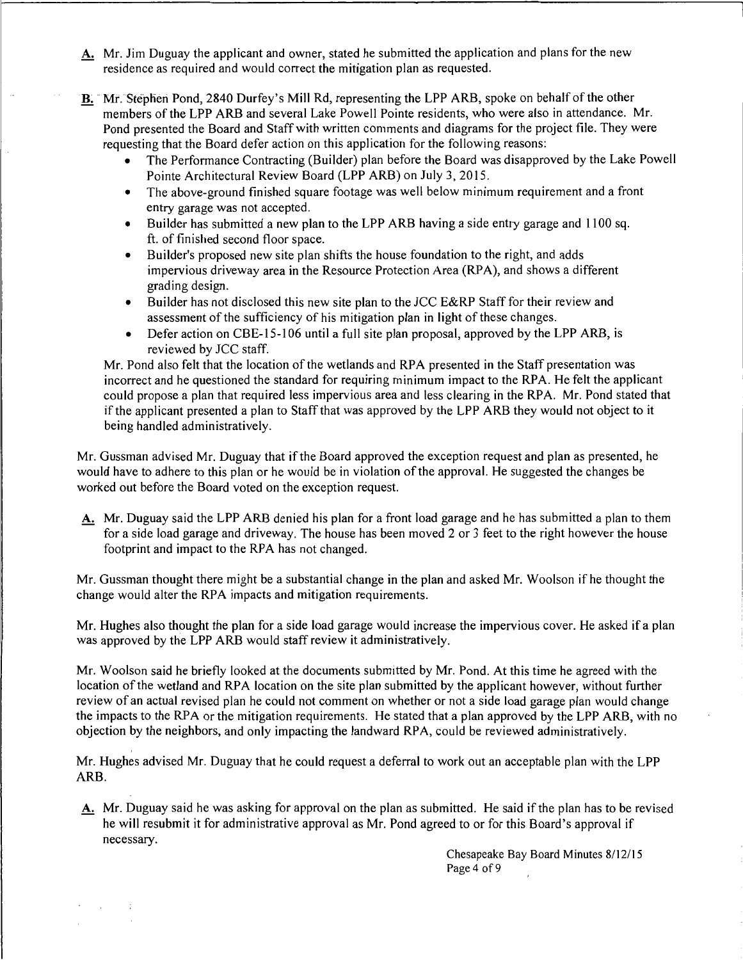- A. Mr. Jim Duguay the applicant and owner, stated he submitted the application and plans for the new residence as required and would correct the mitigation plan as requested.
- B. Mr. Stephen Pond, 2840 Durfey's Mill Rd, representing the LPP ARB, spoke on behalf of the other members of the LPP ARB and several Lake Powell Pointe residents, who were also in attendance. Mr. Pond presented the Board and Staff with written comments and diagrams for the project file. They were requesting that the Board defer action on this application for the following reasons:
	- The Performance Contracting (Builder) plan before the Board was disapproved by the Lake Powell Pointe Architectural Review Board (LPP ARB) on July 3, 2015.
	- The above-ground finished square footage was well below minimum requirement and a front entry garage was not accepted.
	- Builder has submitted a new plan to the LPP ARB having a side entry garage and 1100 sq. ft. of finished second floor space.
	- Builder's proposed new site plan shifts the house foundation to the right, and adds impervious driveway area in the Resource Protection Area (RPA), and shows a different grading design.
	- Builder has not disclosed this new site plan to the JCC E&RP Staff for their review and assessment of the sufficiency of his mitigation plan in light of these changes.
	- Defer action on CBE-15-106 until a full site plan proposal, approved by the LPP ARB, is reviewed by JCC staff.

Mr. Pond also felt that the location of the wetlands and RPA presented in the Staff presentation was incorrect and he questioned the standard for requiring minimum impact to the RPA. He felt the applicant could propose a plan that required less impervious area and less clearing in the RPA. Mr. Pond stated that if the applicant presented a plan to Staff that was approved by the LPP ARB they would not object to it being handled administratively.

Mr. Gussman advised Mr. Duguay that if the Board approved the exception request and plan as presented, he would have to adhere to this plan or he would be in violation of the approval. He suggested the changes be worked out before the Board voted on the exception request.

A. Mr. Duguay said the LPP ARB denied his plan for a front load garage and he has submitted a plan to them for a side load garage and driveway. The house has been moved 2 or 3 feet to the right however the house footprint and impact to the RPA has not changed.

Mr. Gussman thought there might be a substantial change in the plan and asked Mr. Woolson if he thought the change would alter the RPA impacts and mitigation requirements.

Mr. Hughes also thought the plan for a side load garage would increase the impervious cover. He asked if a plan was approved by the LPP ARB would staff review it administratively.

Mr. Woolson said he briefly looked at the documents submitted by Mr. Pond. At this time he agreed with the location of the wetland and RPA location on the site plan submitted by the applicant however, without further review of an actual revised plan he could not comment on whether or not a side load garage plan would change the impacts to the RPA or the mitigation requirements. He stated that a plan approved by the LPP ARB, with no objection by the neighbors, and only impacting the landward RPA, could be reviewed administratively.

Mr. Hughes advised Mr. Duguay that he could request a deferral to work out an acceptable plan with the LPP ARB.

A. Mr. Duguay said he was asking for approval on the plan as submitted. He said if the plan has to be revised he will resubmit it for administrative approval as Mr. Pond agreed to or for this Board's approval if necessary.

**College** 

Chesapeake Bay Board Minutes 8/12/15 Page 4 of 9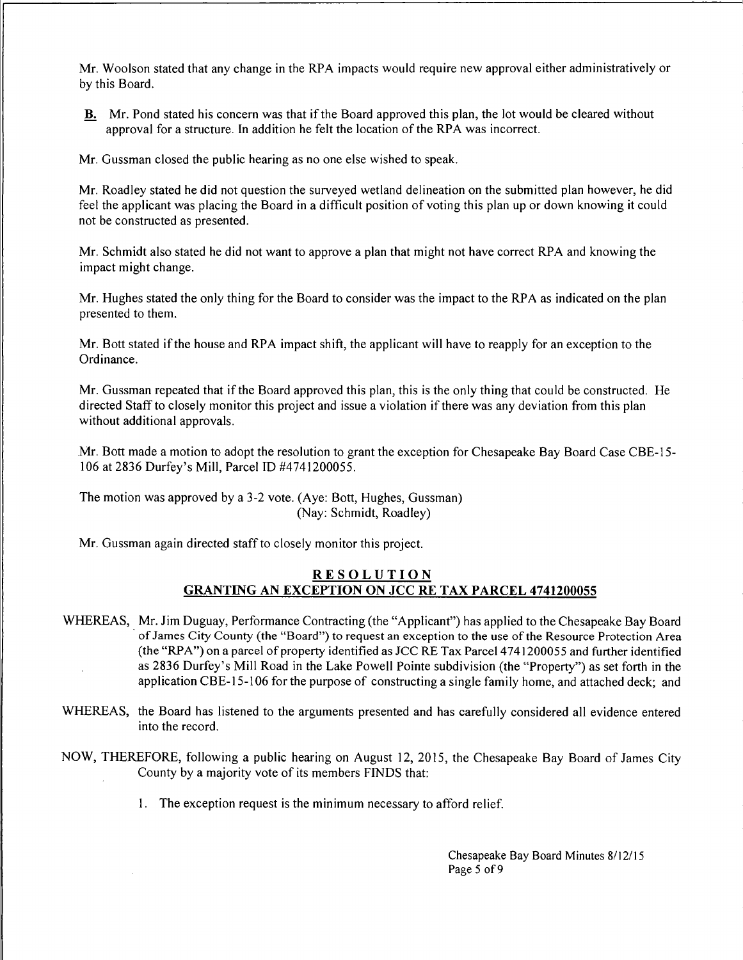Mr. Woolson stated that any change in the RPA impacts would require new approval either administratively or by this Board.

B. Mr. Pond stated his concern was that if the Board approved this plan, the lot would be cleared without approval for a structure. In addition he felt the location of the RPA was incorrect.

Mr. Gussman closed the public hearing as no one else wished to speak.

Mr. Roadley stated he did not question the surveyed wetland delineation on the submitted plan however, he did feel the applicant was placing the Board in a difficult position of voting this plan up or down knowing it could not be constructed as presented.

Mr. Schmidt also stated he did not want to approve a plan that might not have correct RPA and knowing the impact might change.

Mr. Hughes stated the only thing for the Board to consider was the impact to the RPA as indicated on the plan presented to them.

Mr. Bott stated if the house and RPA impact shift, the applicant will have to reapply for an exception to the Ordinance.

Mr. Gussman repeated that if the Board approved this plan, this is the only thing that could be constructed. He directed Staff to closely monitor this project and issue a violation if there was any deviation from this plan without additional approvals.

Mr. Bott made a motion to adopt the resolution to grant the exception for Chesapeake Bay Board Case CBE-15- 106 at 2836 Durfey's Mill, Parcel ID #4741200055.

The motion was approved by a 3-2 vote. (Aye: Bott, Hughes, Gussman) (Nay: Schmidt, Roadley)

Mr. Gussman again directed staff to closely monitor this project.

### RESOLUTION GRANTING AN EXCEPTION ON JCC RE TAX PARCEL 4741200055

- WHEREAS, Mr. Jim Duguay, Performance Contracting (the "Applicant") has applied to the Chesapeake Bay Board · of James City County (the "Board") to request an exception to the use of the Resource Protection Area (the "RPA") on a parcel of property identified as JCC RE Tax Parcel 474 I 200055 and further identified as 2836 Durfey's Mill Road in the Lake Powell Pointe subdivision (the "Property") as set forth in the application CBE-15-106 for the purpose of constructing a single family home, and attached deck; and
- WHEREAS, the Board has listened to the arguments presented and has carefully considered all evidence entered into the record.
- NOW, THEREFORE, following a public hearing on August 12, 2015, the Chesapeake Bay Board of James City County by a majority vote of its members FINDS that:
	- 1. The exception request is the minimum necessary to afford relief.

Chesapeake Bay Board Minutes 8/12/15 Page 5 of 9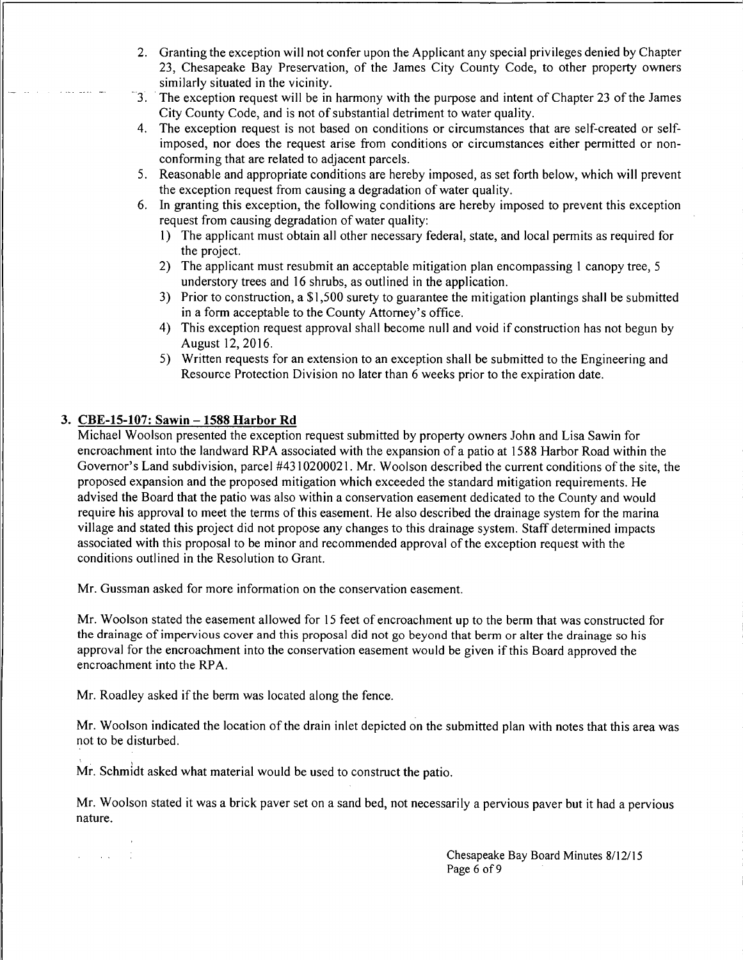- 2. Granting the exception will not confer upon the Applicant any special privileges denied by Chapter 23, Chesapeake Bay Preservation, of the James City County Code, to other property owners similarly situated in the vicinity.
- 3. The exception request will be in harmony with the purpose and intent of Chapter 23 of the James City County Code, and is not of substantial detriment to water quality.
- 4. The exception request is not based on conditions or circumstances that are self-created or selfimposed, nor does the request arise from conditions or circumstances either permitted or nonconforming that are related to adjacent parcels.
- 5. Reasonable and appropriate conditions are hereby imposed, as set forth below, which will prevent the exception request from causing a degradation of water quality.
- 6. In granting this exception, the following conditions are hereby imposed to prevent this exception request from causing degradation of water quality:
	- 1) The applicant must obtain all other necessary federal, state, and local permits as required for the project.
	- 2) The applicant must resubmit an acceptable mitigation plan encompassing 1 canopy tree, 5 understory trees and 16 shrubs, as outlined in the application.
	- 3) Prior to construction, a \$1,500 surety to guarantee the mitigation plantings shall be submitted in a form acceptable to the County Attorney's office.
	- 4) This exception request approval shall become null and void if construction has not begun by August 12,2016.
	- 5) Written requests for an extension to an exception shall be submitted to the Engineering and Resource Protection Division no later than 6 weeks prior to the expiration date.

# 3. CBE-15-107: Sawin - 1588 Harbor Rd

 $\mathcal{L} = \{ \mathcal{L} \mid \mathcal{L} \in \mathcal{L} \}$ 

Michael Woolson presented the exception request submitted by property owners John and Lisa Sawin for encroachment into the landward RPA associated with the expansion of a patio at 1588 Harbor Road within the Governor's Land subdivision, parcel #4310200021. Mr. Woolson described the current conditions of the site, the proposed expansion and the proposed mitigation which exceeded the standard mitigation requirements. He advised the Board that the patio was also within a conservation easement dedicated to the County and would require his approval to meet the terms of this easement. He also described the drainage system for the marina village and stated this project did not propose any changes to this drainage system. Staff determined impacts associated with this proposal to be minor and recommended approval of the exception request with the conditions outlined in the Resolution to Grant.

Mr. Gussman asked for more information on the conservation easement.

Mr. Woolson stated the easement allowed for 15 feet of encroachment up to the berm that was constructed for the drainage of impervious cover and this proposal did not go beyond that berm or alter the drainage so his approval for the encroachment into the conservation easement would be given if this Board approved the encroachment into the RPA.

Mr. Roadley asked if the berm was located along the fence.

Mr. Woolson indicated the location of the drain inlet depicted on the submitted plan with notes that this area was not to be disturbed.

Mr. Schmidt asked what material would be used to construct the patio.

Mr. Woolson stated it was a brick paver set on a sand bed, not necessarily a pervious paver but it had a pervious nature.

> Chesapeake Bay Board Minutes 8/12/15 Page 6 of 9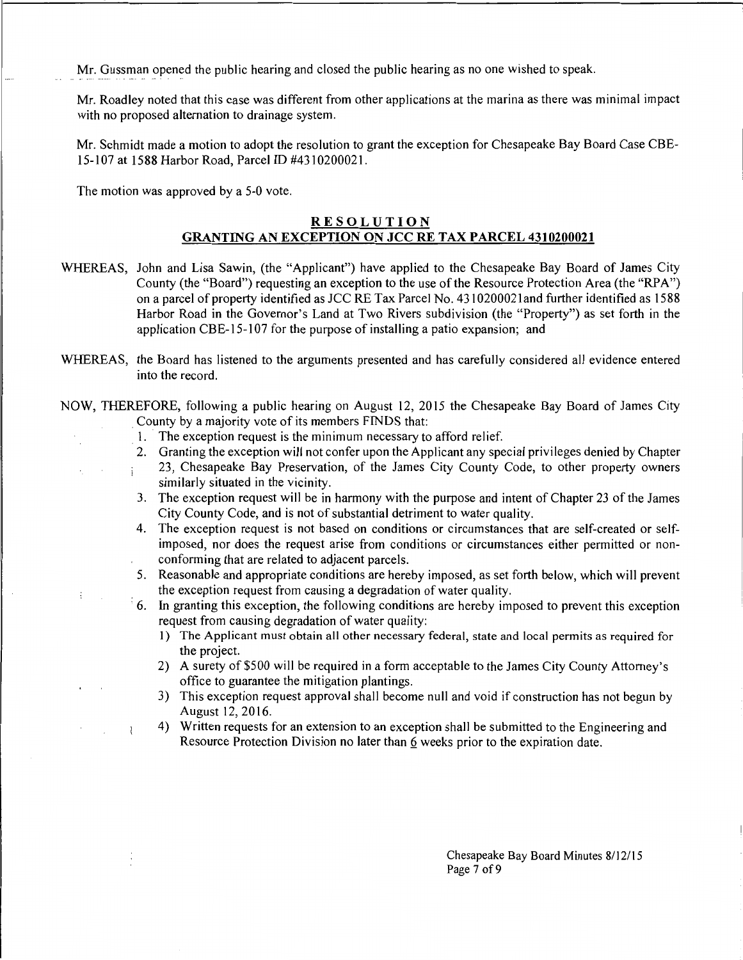Mr. Gussman opened the public hearing and closed the public hearing as no one wished to speak.

Mr. Roadley noted that this case was different from other applications at the marina as there was minimal impact with no proposed alternation to drainage system.

Mr. Schmidt made a motion to adopt the resolution to grant the exception for Chesapeake Bay Board Case CBE-15-107 at 1588 Harbor Road, Parcel ID #4310200021.

The motion was approved by a 5-0 vote.

 $\vdots$  $\mathcal{L}_{\mathcal{A}}$ 

#### **RESOLUTION GRANTING AN EXCEPTION ON JCC RE TAX PARCEL 4310200021**

- WHEREAS, John and Lisa Sawin, (the "Applicant") have applied to the Chesapeake Bay Board of James City County (the "Board") requesting an exception to the use of the Resource Protection Area (the "RPA") on a parcel of property identified as JCC RE Tax Parcel No. 431020002 land further identified as 1588 Harbor Road in the Governor's Land at Two Rivers subdivision (the "Property") as set forth in the application CBE-15-107 for the purpose of installing a patio expansion; and
- WHEREAS, the Board has listened to the arguments presented and has carefully considered all evidence entered into the record.

NOW, THEREFORE, following a public hearing on August 12, 2015 the Chesapeake Bay Board of James City . County by a majority vote of its members FINDS that:

- 1. The exception request is the minimum necessary to afford relief.
- 2. Granting the exception will not confer upon the Applicant any special privileges denied by Chapter 23, Chesapeake Bay Preservation, of the James City County Code, to other property owners similarly situated in the vicinity.
- 3. The exception request will be in harmony with the purpose and intent of Chapter 23 of the James City County Code, and is not of substantial detriment to water quality.
- 4. The exception request is not based on conditions or circumstances that are self-created or selfimposed, nor does the request arise from conditions or circumstances either permitted or nonconforming that are related to adjacent parcels.
- 5. Reasonable and appropriate conditions are hereby imposed, as set forth below, which will prevent the exception request from causing a degradation of water quality.
- · 6. In granting this exception, the following conditions are hereby imposed to prevent this exception request from causing degradation of water quality:
	- 1) The Applicant must obtain all other necessary federal, state and local permits as required for the project.
	- 2) A surety of \$500 will be required in a form acceptable to the James City County Attorney's office to guarantee the mitigation plantings.
	- 3) This exception request approval shall become null and void if construction has not begun by August 12, 2016.
	- 4) Written requests for an extension to an exception shall be submitted to the Engineering and Resource Protection Division no later than 6 weeks prior to the expiration date.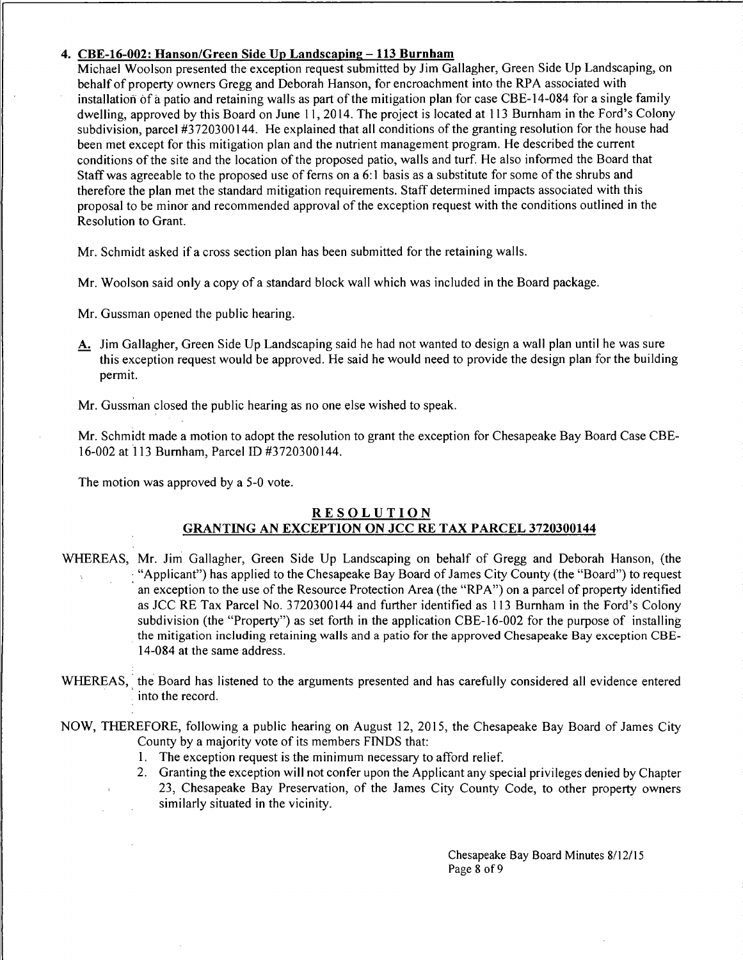### 4. CBE-16-002: Hanson/Green Side Up Landscaping-113 Burnham

Michael Woolson presented the exception request submitted by Jim Gallagher, Green Side Up Landscaping, on behalf of property owners Gregg and Deborah Hanson, for encroachment into the RPA associated with installation of a patio and retaining walls as part of the mitigation plan for case CBE-14-084 for a single family dwelling, approved by this Board on June 11, 2014. The project is located at 113 Burnham in the Ford's Colony subdivision, parcel #3720300144. He explained that all conditions of the granting resolution for the house had been met except for this mitigation plan and the nutrient management program. He described the current conditions of the site and the location of the proposed patio, walls and turf. He also informed the Board that Staff was agreeable to the proposed use of fems on a 6: I basis as a substitute for some of the shrubs and therefore the plan met the standard mitigation requirements. Staff determined impacts associated with this proposal to be minor and recommended approval of the exception request with the conditions outlined in the Resolution to Grant.

Mr. Schmidt asked if a cross section plan has been submitted for the retaining walls.

Mr. Woolson said only a copy of a standard block wall which was included in the Board package.

Mr. Gussman opened the public hearing.

A. Jim Gallagher, Green Side Up Landscaping said he had not wanted to design a wall plan until he was sure this exception request would be approved. He said he would need to provide the design plan for the building permit.

Mr. Gussman closed the public hearing as no one else wished to speak.

Mr. Schmidt made a motion to adopt the resolution to grant the exception for Chesapeake Bay Board Case CBE-16-002 at 113 Burnham, Parcel ID #3720300144.

The motion was approved by a 5-0 vote.

# **RESOLUTION** GRANTING AN EXCEPTION ON JCC RE TAX PARCEL 3720300144

- WHEREAS, Mr. Jim Gallagher, Green Side Up Landscaping on behalf of Gregg and Deborah Hanson, (the · "Applicant") has applied to the Chesapeake Bay Board of James City County (the "Board") to request an exception to the use of the Resource Protection Area (the "RPA") on a parcel of property identified as JCC RE Tax Parcel No. 3720300144 and further identified as 113 Burnham in the Ford's Colony subdivision (the "Property") as set forth in the application CBE-16-002 for the purpose of installing . the mitigation including retaining walls and a patio for the approved Chesapeake Bay exception CBE-14-084 at the same address.
- WHEREAS, the Board has listened to the arguments presented and has carefully considered all evidence entered into the record.

NOW, THEREFORE, following a public hearing on August 12, 2015, the Chesapeake Bay Board of James City County by a majority vote of its members FINDS that:

- 1. The exception request is the minimum necessary to afford relief.
- 2. Granting the exception will not confer upon the Applicant any special privileges denied by Chapter 23, Chesapeake Bay Preservation, of the James City County Code, to other property owners similarly situated in the vicinity.

Chesapeake Bay Board Minutes 8/12/15 Page 8 of 9